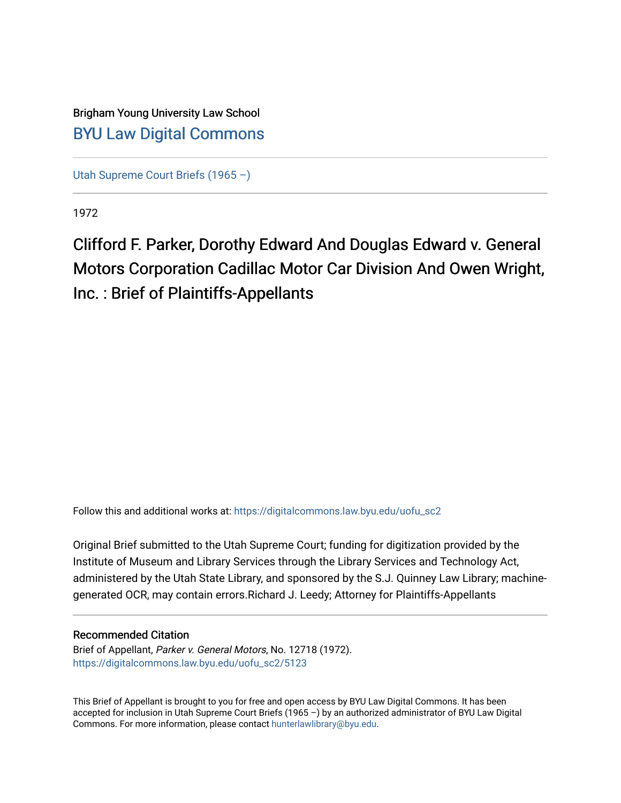# Brigham Young University Law School [BYU Law Digital Commons](https://digitalcommons.law.byu.edu/)

[Utah Supreme Court Briefs \(1965 –\)](https://digitalcommons.law.byu.edu/uofu_sc2)

1972

# Clifford F. Parker, Dorothy Edward And Douglas Edward v. General Motors Corporation Cadillac Motor Car Division And Owen Wright, Inc. : Brief of Plaintiffs-Appellants

Follow this and additional works at: [https://digitalcommons.law.byu.edu/uofu\\_sc2](https://digitalcommons.law.byu.edu/uofu_sc2?utm_source=digitalcommons.law.byu.edu%2Fuofu_sc2%2F5123&utm_medium=PDF&utm_campaign=PDFCoverPages)

Original Brief submitted to the Utah Supreme Court; funding for digitization provided by the Institute of Museum and Library Services through the Library Services and Technology Act, administered by the Utah State Library, and sponsored by the S.J. Quinney Law Library; machinegenerated OCR, may contain errors.Richard J. Leedy; Attorney for Plaintiffs-Appellants

## Recommended Citation

Brief of Appellant, Parker v. General Motors, No. 12718 (1972). [https://digitalcommons.law.byu.edu/uofu\\_sc2/5123](https://digitalcommons.law.byu.edu/uofu_sc2/5123?utm_source=digitalcommons.law.byu.edu%2Fuofu_sc2%2F5123&utm_medium=PDF&utm_campaign=PDFCoverPages) 

This Brief of Appellant is brought to you for free and open access by BYU Law Digital Commons. It has been accepted for inclusion in Utah Supreme Court Briefs (1965 –) by an authorized administrator of BYU Law Digital Commons. For more information, please contact [hunterlawlibrary@byu.edu](mailto:hunterlawlibrary@byu.edu).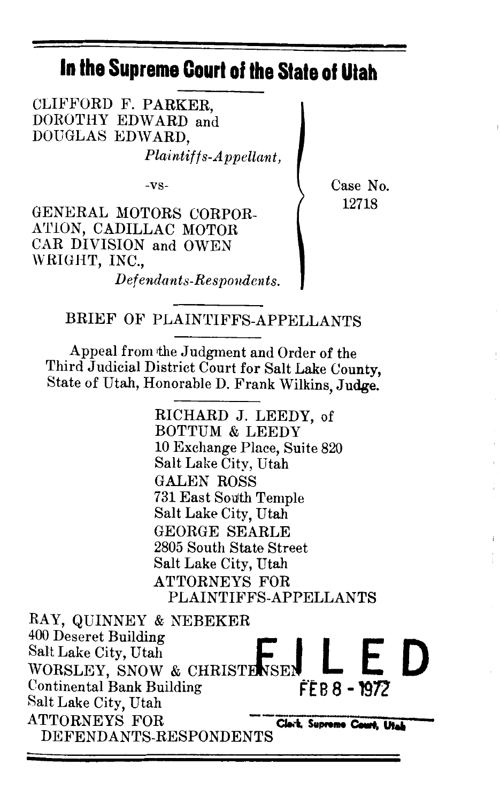# **In the Supreme Court of the Slate of Utah**

CLIFFORD F. PARKER, DOROTHY EDWARD and DOUGLAS EDWARD.

*Plaintiffs-Appellant,* 

-vs-

GENERAL MOTORS CORPOR-ATION, CADILLAC MOTOR CAR DIVISION and OWEN WRIGHT, INC., *Defendants-Responaents.*  Case No. 12718

BRIEF OF PLAINTIFFS-APPELLANTS

Appeal from the Judgment and Order of the Third Judicial District Court for Salt Lake County, State of Utah, Honorable D. Frank Wilkins, Judge.

> RICHARD J. LEEDY, of BOTTUM & LEEDY 10 Exchange Place, Suite 820 Salt Lake City, Utah GALEN ROSS 731 East South Temple Salt Lake City, Utah GEORGE SEARLE 2805 South State Street Salt Lake City, Utah ATTORNEYS FOR PLAINTIFFS-APPELLANTS

RAY, QUINNEY & NEBEKER RAY, QUINNEY & NEBEKER<br><sup>400</sup> Deseret Building<br>Salt Lake City, Utah WORSLEY, SNOW & CHRISTENSE! Continental Bank Building F'£ **B 8 -1972'**  Salt Lake City, Utah ATTORNEYS FOR **Clerk, Supreme Court, Utal** DEFENDANTS-RESPONDENTS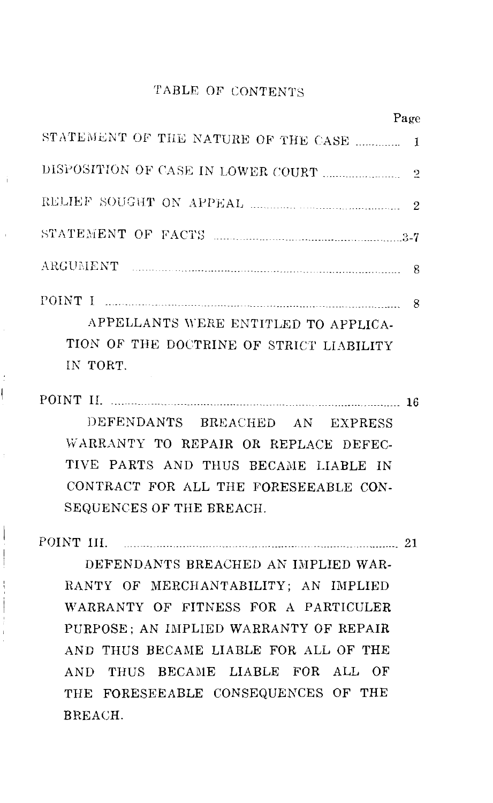## TABLE OF CONTENTS

| Page                                                                                         |  |
|----------------------------------------------------------------------------------------------|--|
| STATEMENT OF THE NATURE OF THE CASE  1                                                       |  |
|                                                                                              |  |
|                                                                                              |  |
|                                                                                              |  |
|                                                                                              |  |
| APPELLANTS WERE ENTITLED TO APPLICA-<br>TION OF THE DOCTRINE OF STRICT LIABILITY<br>IN TORT. |  |

POINT II. \_\_\_\_\_\_\_\_\_\_\_\_\_\_\_\_\_\_\_\_\_\_\_\_\_\_\_\_\_\_ -------------------------------------------------------- 16

DEFENDANTS BREACHED AN EXPRESS \'v'ARRANTY TO REPAIR OR REPLACE DEFEC-TIVE PARTS AND THUS BECAME LIABLE IN CONTRACT FOR ALL THE FORESEEABLE CON-SEQUENCES OF THE BREACH.

POINT III. \_ \_ \_\_\_\_\_\_ \_\_\_\_ \_\_\_\_\_\_\_ \_\_\_\_\_\_\_\_ \_ \_ \_\_\_\_\_\_\_\_\_\_\_\_\_\_\_\_\_\_\_\_\_\_\_\_ 21

DEFENDANTS BREACHED *AN* IMPLIED WAR-RANTY OF MERCHANTABILITY; AN IMPLIED WARRANTY OF FITNESS FOR A PARTICULER PURPOSE; AN IMPLIED WARRANTY OF REPAIR AND THUS BECAME LIABLE FOR ALL OF THE AND THUS BECAME LIABLE FOR ALL OF THE FORESEEABLE CONSEQUENCES OF THE BREACH.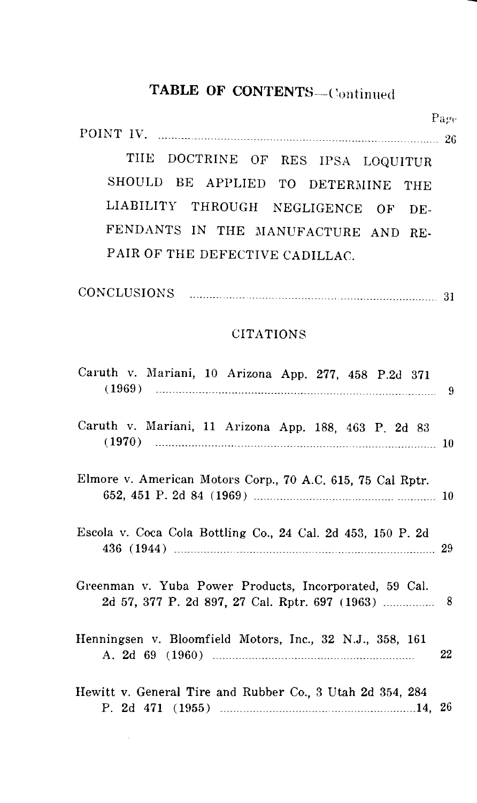# TABLE OF CONTENTS-Continued

Page POINT IV. \_\_\_\_\_\_\_\_\_\_\_\_\_\_\_\_\_\_ \_ -- 26

THE DOCTRINE OF RES IPSA LOQUITUR SHOULD BE APPLIED TO DETERMINE THE LIABILITY THROUGH NEGLIGENCE OF DE-FENDANTS IN THE MANUFACTURE AND RE-PAIR OF THE DEFECTIVE CADILLAC.

| CONCLUSIONS |  |
|-------------|--|
|             |  |

#### CITATIONS

| Caruth v. Mariani, 10 Arizona App. 277, 458 P.2d 371                   |    |
|------------------------------------------------------------------------|----|
| Caruth v. Mariani, 11 Arizona App. 188, 463 P. 2d 83<br>$(1970)$ 1970) |    |
| Elmore v. American Motors Corp., 70 A.C. 615, 75 Cal Rptr.             |    |
| Escola v. Coca Cola Bottling Co., 24 Cal. 2d 453, 150 P. 2d            |    |
| Greenman v. Yuba Power Products, Incorporated, 59 Cal.                 |    |
| Henningsen v. Bloomfield Motors, Inc., 32 N.J., 358, 161               | 22 |
| Hewitt v. General Tire and Rubber Co., 3 Utah 2d 354, 284              |    |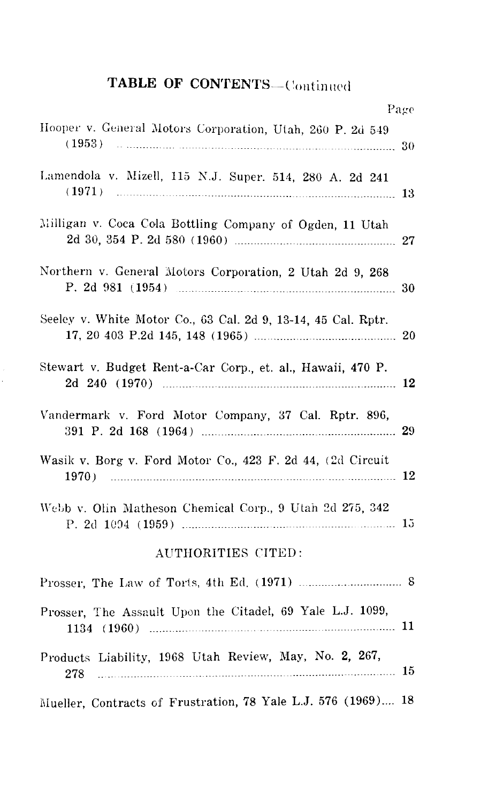# TABLE OF CONTENTS-Continued

|                                                                     | Page |
|---------------------------------------------------------------------|------|
| Hooper v. General Motors Corporation, Utah, 260 P. 2d 549<br>(1953) | 30   |
| Lamendola v. Mizell, 115 N.J. Super. 514, 280 A. 2d 241<br>(1971)   | 13   |
| Milligan v. Coca Cola Bottling Company of Ogden, 11 Utah            | 27   |
| Northern v. General Motors Corporation, 2 Utah 2d 9, 268            | 30   |
| Seeley v. White Motor Co., 63 Cal. 2d 9, 13-14, 45 Cal. Rptr.       |      |
| Stewart v. Budget Rent-a-Car Corp., et. al., Hawaii, 470 P.         |      |
| Vandermark v. Ford Motor Company, 37 Cal. Rptr. 896,                | 29   |
| Wasik v. Borg v. Ford Motor Co., 423 F. 2d 44, (2d Circuit<br>1970) |      |
| Webb v. Olin Matheson Chemical Corp., 9 Utah 2d 275, 342            |      |
| AUTHORITIES CITED:                                                  |      |
|                                                                     |      |
| Prosser, The Assault Upon the Citadel, 69 Yale L.J. 1099,           |      |
| Products Liability, 1968 Utah Review, May, No. 2, 267,<br>278       |      |
| Mueller, Contracts of Frustration, 78 Yale L.J. 576 (1969) 18       |      |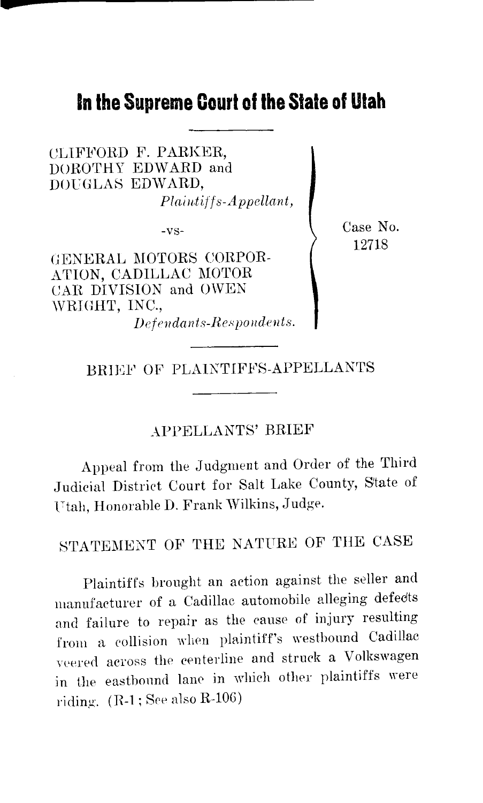# **In the Supreme Court of the Stale of Utah**

CLlFFORD F. PARKER, DOROTHY EDWARD and DOUGLAS EDWARD,  $Plaintiff s-Appellant,$ 

-vs-

GENERAL MOTORS CORPOR-ATION, CADILLAC MOTOR CAR DIVISION and OWEN \VRIOHT, INC.,  $De$ *fendants-Respondents.*  Case No. 12718

BRIEF OF PLAINTIFFS-APPELLANTS

## APPELLANTS' BRIEF

Appeal from the Judgment and Order of the Third Judicial District Court for Salt Lake County, State of Utah, Honorable D. Frank Wilkins, Judge.

STATEMENT OF THE NATURE OF THE CASE

Plaintiffs brought an action against the seller and manufacturer of a Cadillac automobile alleging defects and failure to repair as the cause of injury resulting from a collision when plaintiff's westbound Cadillac veered across the centerline and struck a Volkswagen in the eastbonnd lane in whieh other plaintiffs were riding.  $(R-1;$  See also  $R-106$ )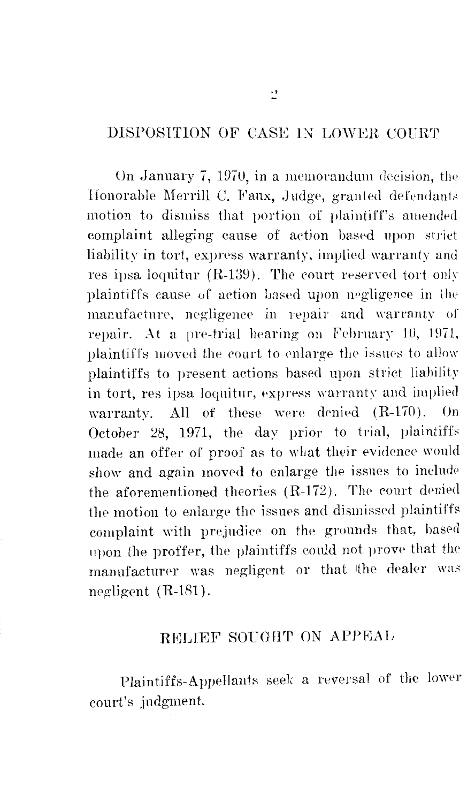# DISPOSITION OF CASE IN LOWER COURT

On January 7, 1970, in a memorandum decision, the Honorable Merrill C. Faux, Judge, granted defendants motion to dismiss that portion of plaintiff's amended complaint alleging cause of action based upon striet liability in tort, express warranty, implied warranty and res ipsa loquitur (R-139). The court reserved tort only plaintiffs cause of action based upon negligence in the manufacture, negligence in repair and warranty of repair. At a pre-trial hearing on February 10, 1971, plaintiffs moved the court to enlarge the issues to allow plaintiffs to present actions based upon strict liability in tort, res ipsa loquitur, express warranty and implied warranty. All of these were denied  $(R-170)$ . On October 28, 1971, the day prior to trial, plaintiffs made an offer of proof as to what their evidence would show and again moved to enlarge the issues to include the aforementioned theories  $(R-172)$ . The court denied the motion to enlarge the issues and dismissed plaintiffs complaint with prejudice on the grounds that, based upon the proffer, the plaintiffs could not prove that the manufacturer was negligent or that the dealer was negligent  $(R-181)$ .

# RELIEF SOUGHT ON APPEAL

Plaintiffs-Appellants seek a reversal of the lower court's judgment.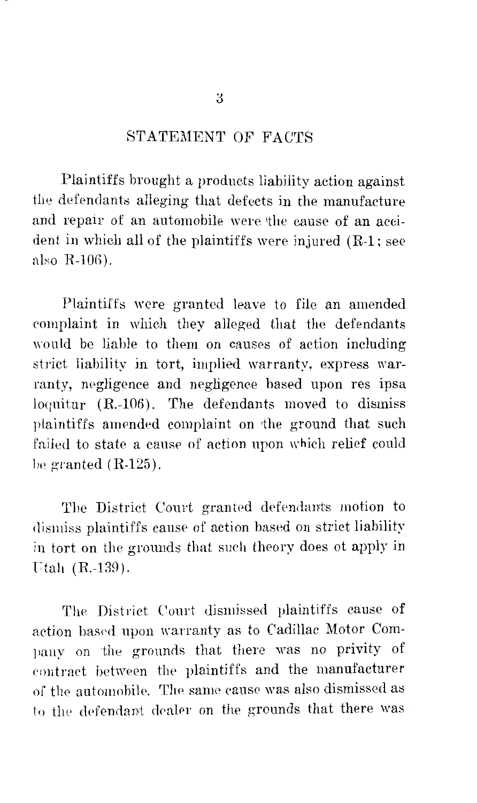## STATEMENT OF FACTS

Plaintiffs brought a products liability action against the defendants alleging that defects in the manufacture and repair of an automobile were the cause of an accident in which all of the plaintiffs were injured (R-1; see also R-10G).

Plaintiffs were granted leave *to* file an amended complaint in which they alleged that the defendants would be liable *to* them on causes of action including strict liability in tort, implied warranty, express warranty, negligence and negligence based upon res ipsa loquitur (R.-106). The defendants moved *to* dismiss plaintiffs amended complaint on 'the ground that such failed to state a cause of action upon which relief could be granted  $(R-125)$ .

The District Court granted defendants motion *to*  dismiss plaintiffs cause of action based on strict liability in tort on the grounds that such theory does ot apply in Ftah (R.-139).

The District Court dismissed plaintiffs cause of action based upon warranty as to Cadillac Motor Company on the grounds that there was no privity of contract between the plaintiffs and the manufacturer of the automobile. The same cause was also dismissed as to the defendant dealer on the grounds that there was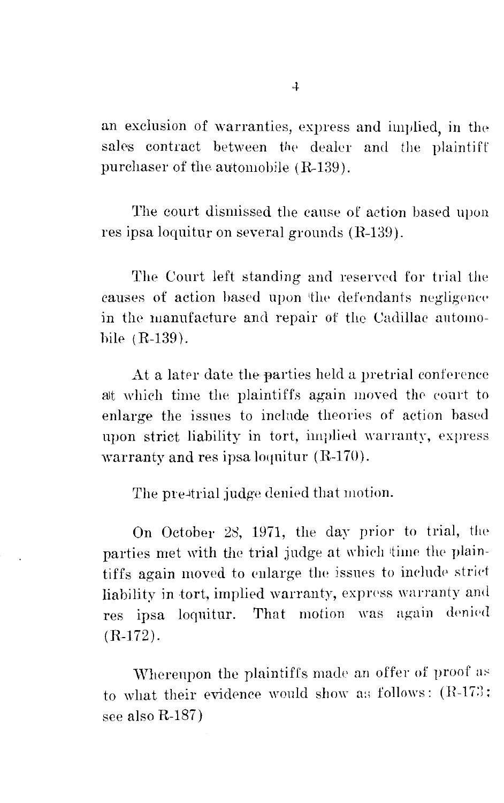an exclusion of warranties, express and implied, in the sales contract between the dealer and the plaintiff purchaser of the automobile  $(R-139)$ .

The court dismissed the canse of action based upon res ipsa loquitur on several grounds (R-139).

The Court left standing and reserved for trial the causes of action based upon the defendants negligence in the manufacture and repair of the Cadillac automohile (R-139).

At a later date the parties held a pretrial conference at which time the plaintiffs again moved the court to enlarge the issues to include theories of action based upon strict liability in tort, implied warranty, express warranty and res ipsa loquitur (R-170).

The pre-trial judge denied that motion.

On October 28, 1971, the day prior to trial, the parties met with the trial judge at which time the plaintiffs again moved to enlarge the issues to include strict liability in tort, implied warranty, express warranty and res ipsa loquitur. That motion was again denied (R-172).

Whereupon the plaintiffs made an offer of proof as to what their evidence would show as follows:  $(R-173)$ : see also R-187)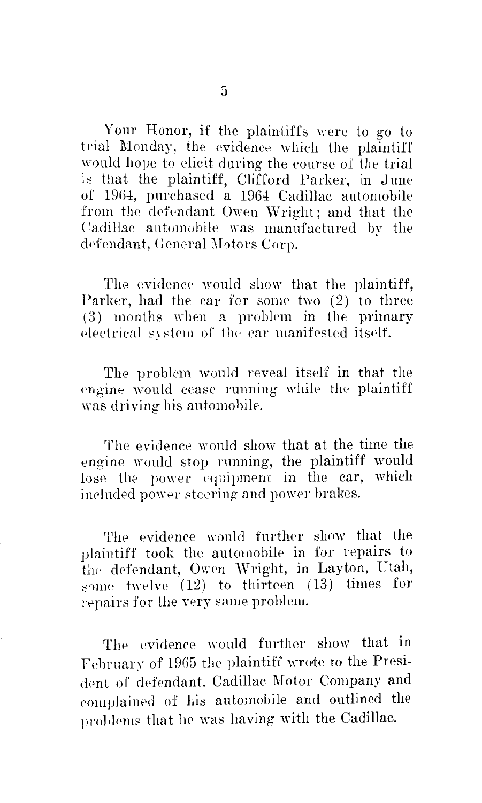Your Honor, if the plaintiffs were to go to trial Monday, the evidence which the plaintiff would hope to elicit during the course of the trial is that the plaintiff, Clifford Parker, in June of 1964, purchased a 1964 Cadillac automobile from the defendant Owen Wright; and that the Cadillac automohile was manufactured by the defendant, General Motors Corp.

The evidence would show that the plaintiff, Parker, had the car for some two  $(2)$  to three  $(3)$  months when a problem in the primary electrical system of the car manifested itself.

The problem would reveal itself in that the engine would cease running while the plaintiff was driving his automohile.

The evidence wonld show that at the time the engine would stop running, the plaintiff would lose the power equipment in the car, which included power steering and power brakes.

The evidenee would further show that the plaintiff took the automobile in for repairs to the defendant, Owen Wright, in Layton, Utah, some twelve (12) to thirteen (13) times for repairs for the very same problem.

The evidence would further show that in February of 1965 the plaintiff wrote to the President of defendant, Cadillac Motor Company and complained of his automobile and outlined the problems that he was having with the Cadillac.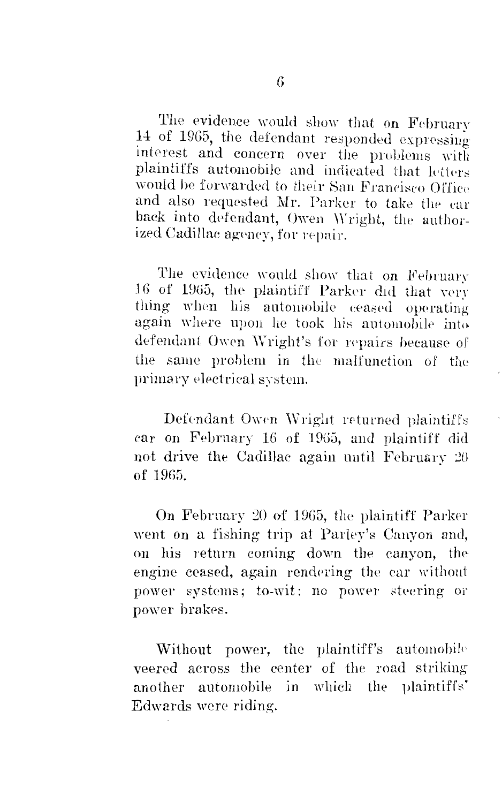The evidence would show that on February 14 of 1965, the defendant responded expressing interest and concern over the problems with plaintiffs automobile and indicated that letters would be forwarded to their San Francisco Office and also requested Mr. Parker to take the car back into defendant, Owen Wright, the authorized Cadillac agency, for repair.

The evidence would show that on February 16 of 1965, the plaintiff Parker did that very thing when his automobile ceased operating again where upon he took his automobile into defendant Owen Wright's for repairs because of the same problem in the malfunction of the primary electrical system.

Defendant Owen Wright returned plaintiffs car on February 16 of 1965, and plaintiff did not drive the Cadillac again until February  $20$ of 19G5.

On February 20 of 1965, the plaintiff Parker went on a fishing trip at Parley's Canyon and, on his return coming down the canyon, the engine ceased, again rendering the car without power systems; to-wit: no power steering or power brakes.

Without power, the plaintiff's automobile veered across the center of the road striking another automobile in which the plaintiffs' Edwards were riding.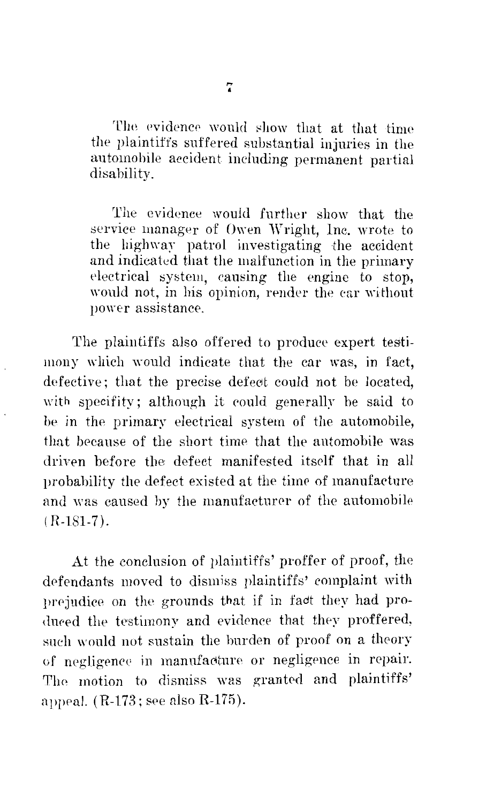The evidence would show that at that time the plaintiffs suffered substantial injuries in the automobile accident including permanent partial disability.

The evidence would further show that the service manager of Owen Wright, Inc. wrote to the highway patrol investigating the accident and indicated that the malfunction in the primary electrical system, causing the engine to stop, would not, in his opinion, render the car without power assistance.

The plaintiffs also offered to produce expert testimony which would indicate that the car was, in fact, defective; that the precise defect could not be located, with specifity; although it could generally be said to he in the primary electrical system of the automobile, that because of the short time that the automobile was driven before the defect manifested itself that in all probability the defect existed at the time of manufacture and was caused by the manufacturer of the automobile  $(R-181-7)$ .

At the conclusion of plaintiffs' proffer of proof, the defendants moved to dismiss plaintiffs' complaint with prejudice on the grounds that if in fact they had produced the testimony and evidence that they proffered, such would not sustain the burden of proof on a theory of negligence in manufacture or negligence in repair. The motion to dismiss was granted and plaintiffs' appeal.  $(R-173;$  see also  $R-175$ ).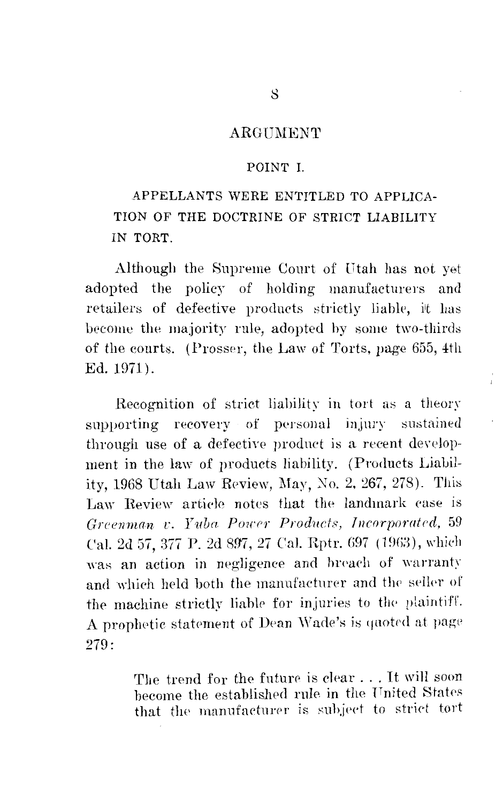### ARGUMENT

#### POINT I

# APPELLANTS WERE ENTITLED TO APPLICA-TION OF THE DOCTRINE OF STRICT LIABILITY IN TORT.

Although the Supreme Court of Utah has not yet adopted the policy of holding manufacturers and retailers of defective products strictly liable, it has become the majority rule, adopted by some two-thirds of the courts. (Prosser, the Law of Torts, page 655, 4th Ed. 1971).

Recognition of strict liability in tort as a theory supporting recovery of personal injury sustained through use of a defective product is a recent development in the law of products liability. (Products Liability. 1968 Utah Law Review, May, No. 2, 267, 278). This Law Review article notes that the landmark case is Greenman v. Yuba Power Products, Incorporated. 59 Cal. 2d 57, 377 P. 2d 897, 27 Cal. Rptr. 697 (1963), which was an action in negligence and breach of warranty and which held both the manufacturer and the seller of the machine strictly liable for injuries to the plaintiff. A prophetic statement of Dean Wade's is quoted at page 279:

> The trend for the future is clear ... It will soon become the established rule in the United States that the manufacturer is subject to strict tort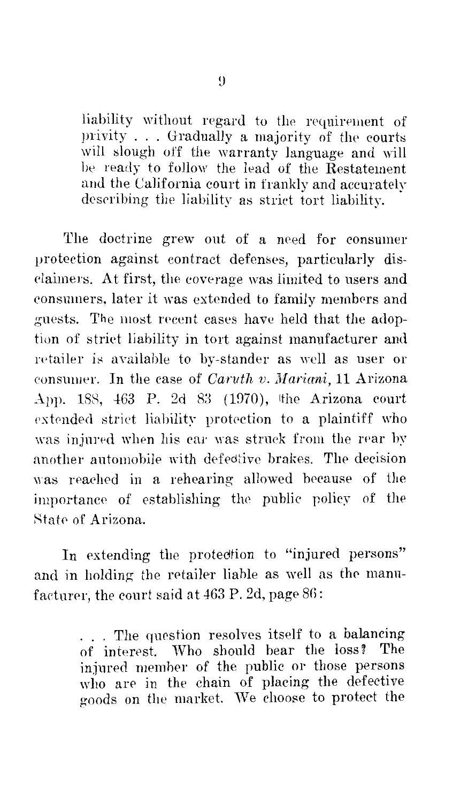liability without regard to the requirement of privity  $\ldots$ . Gradually a majority of the courts will slough off the warranty language and will he ready to follow the lead of the Restatement and the California court in frankly and accurately describing the liability as strict tort liability.

The doctrine grew out of a need for consumer protection against contract defenses, particularly disclaimers. At first, the coverage was limited to users and consumers, later it was extended to family members and guests. The most recent cases have held that the adoption of strict liability in tort against manufacturer and retailer is available to by-stander as well as user or consumer. In the case of *Caruth v. Mariani,* 11 Arizona App. 188, 463 P. 2d 83 (1970), the Arizona court extended strict liability protection to a plaintiff who was injured when his car was struck from the rear by another automobile with defedtive brakes. The decision was reached in a rehearing allowed because of the importance of establishing the public policy of the State of Arizona.

In extending the protection to "injured persons" and in holding the retailer liable as well as the manufacturer, the court said at  $463$  P. 2d, page  $86$ :

> ... The question resolves itself to a balancing of interest. Who should bear the loss? The injured member of the public or those persons who are in the chain of placing the defective goods on the market. We choose to protect the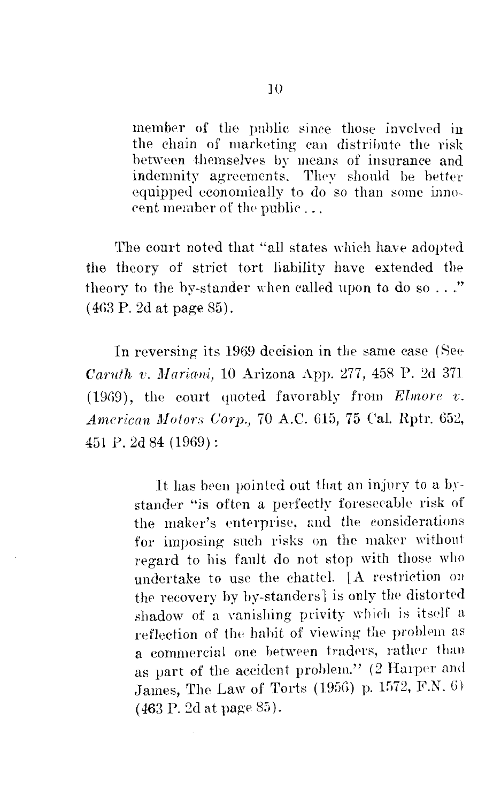member of the public since those jnvolved in the chain of marketing can distribute the risk hetween themselves by means of insurance and indemnity agreements. They should be better equipped economically to do. so than some innocent member of the public  $\dots$ 

The court noted that "all states which have adopted the theory of strict tort liability have extended the theory to the by-stander when called upon to do so  $\ldots$ ." (4G3 P. 2d at page 85).

In reversing its 1969 decision in the same case (See *Carnth v. Jlnrimli,* 10 Arizona App. 277, 458 P. 2d 371  $(1969)$ , the court quoted favorably from *Elmore v*. *Anicrican Motors Corp.,* 70 A.C. G15, 75 Cal. Hptr. 652, 4Gl P. 2d 84 (1969):

> It has been pointed out that an injury to a bystander "is often a perfectly foreseeable risk of the maker's enterprise, and the considerations for imposing such risks on the maker without regard to his fault do not stop with those who undertake to use the chattel. [A restriction on the recovery by by-standers] is only the distorted shadow of a vanishing privity which is itself a reflection of the habit of viewing the problem as a commercial one between traders, rather than as part of the accident problem." (2 Harper and James, The Law of Torts (1956) p. 1572, F.N. 6)  $(463 \text{ P.} 2d \text{ at page } 85).$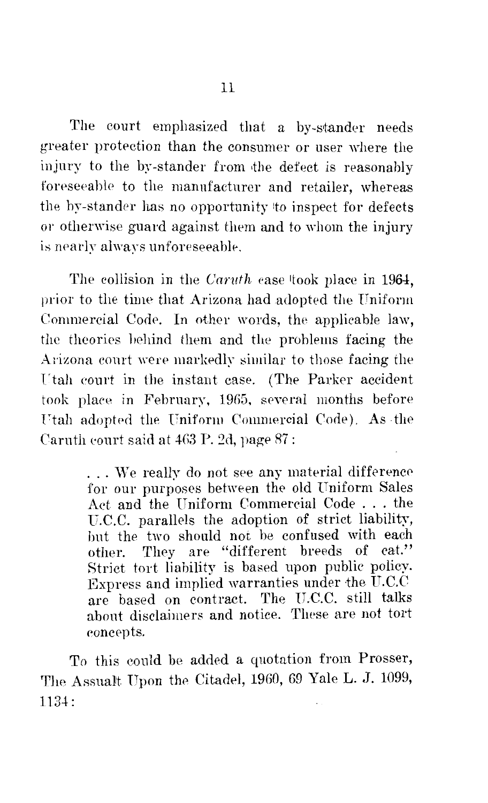The court emphasized that a by-stander needs greater protection than the consumer or user where the injury to the by-stander from the defect is reasonably foreseeable to the manufacturer and retailer, whereas the by-stander has no opportunity ito inspect for defects or otherwise guard against them and to whom the injury is nearly always unforeseeable.

The collision in the *Caruth* case took place in 1964, prior to the time that Arizona had adopted the Uniform Commercial Code. In other words, the applicable law, the theories behind them and the problems facing the Arizona court were markedly similar to those facing the Utah court in the instant case. (The Parker accident took place in February, 19G5, several months before Utah adopted the Uniform Commercial Code). As the Caruth court said at  $463$  P. 2d, page  $87$ :

> ... We really do not see any material difference for our purposes between the old Uniform Sales Act and the Uniform Commercial Code ... the U.C.C. parallels the adoption of strict liability, hut the two should not be confused with each other. They are "different breeds of cat." Strict tort liability is based upon public policy. Express and implied warranties under the U.C.C are based on contract. The U.C.C. still talks about disclaimers and notice. These are not tort concepts.

To this could be added a quotation from Prosser, The Assualt Upon the Citadel, 1960, 69 Yale L. J. 1099, 1134: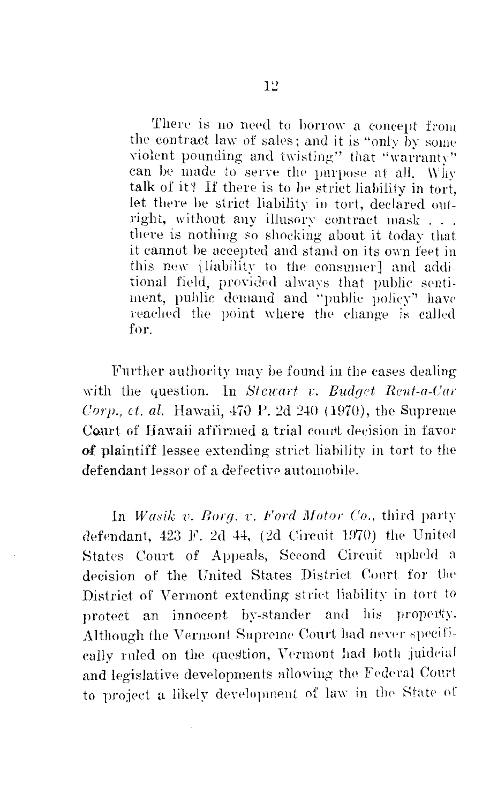There is no need to borrow a concept from the contract law of sales; and it is "only by some violent pounding and twisting" that "warranty" can be made to serve the purpose at all. Why talk of it? If there is to be strict liability in tort. let there be strict liability in tort, declared outright, without any illusory contract mask... there is nothing so shocking about it today that it cannot be accepted and stand on its own feet in this new Hiability to the consumer] and additional field, provided always that public sentiment, public demand and "public policy" have reached the point where the change is called for.

Further authority may be found in the cases dealing with the question. In Stewart v. Budget Rent-a-Car *Corp., et. al.* Hawaii,  $470$  P. 2d  $240$  (1970), the Supreme Court of Hawaii affirmed a trial court decision in favor of plaintiff lessee extending strict liability in tort to the defendant lessor of a defective automobile.

In Wasik v. Borg. v. Ford Motor Co., third party defendant, 423 F. 2d 44, (2d Circuit 1970) the United States Court of Appeals, Second Circuit upheld a decision of the United States District Court for the District of Vermont extending strict liability in tort to protect an innocent by-stander and his property. Although the Vermont Supreme Court had never specifically ruled on the question, Vermont had both juideial and legislative developments allowing the Federal Court to project a likely development of law in the State of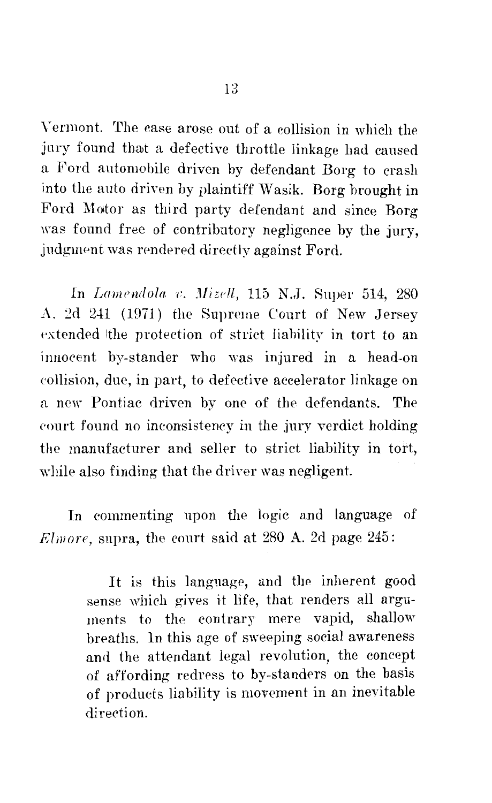Y ermont. The case arose out of a collision in which the jury found that a defective throttle linkage had caused a Ford automobile driven by defendant Borg to crash into the anto driven by plaintiff Wasik. Borg brought in Ford Motor as third party defendant and since Borg was found free of contributory negligence by the jury, judgment was rendered directly against Ford.

In *Lamendofo i:. Jlizell,* 115 N .• J. 8uper 514, 280 A. 2d 241 (1971) the Supreme Court of New Jersey extended the protection of strict liability in tort to an innocent by-stander who was injured in a head-on eollision, due, in part, to defective accelerator linkage on a new Pontiac driven by one of the defendants. The eourt found no inconsistency in the jury verdict holding the manufacturer and seller to strict liability in tort, while also finding that the driver was negligent.

In commenting upon the logic and language of *Rlmore*, supra, the court said at 280 A. 2d page 245:

> It is this language, and the inherent good sense which gives it life, that renders all arguments to the contrary mere vapid, shallow breaths. ln this age of sweeping social awareness and the attendant legal revolution, the concept of affording redress to by-standers on the basis of products liability is movement in an inevitable direction.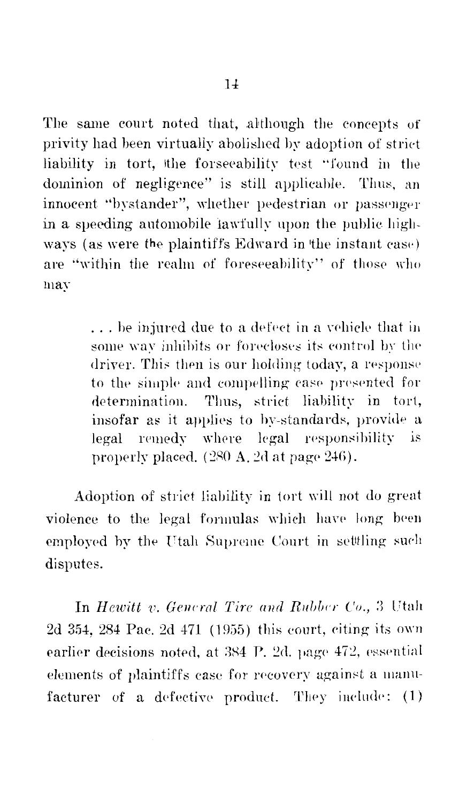The same court noted that, although the concepts of privity had been virtually abolished by adoption of strict liability in tort, the forseeability test "found in the dominion of negligence" is still applicable. Thus, an innocent "bystander", whether pedestrian or passenger in a speeding automobile fawfully upon the public highways (as were the plaintiffs Edward in the instant case) are "within the realm of foreseeability" of those who may

> ... be injured due to a defect in a vehicle that in some way inhibits or forecloses its control by the driver. This then is our holding today, a response to the simple and compelling case presented for determination. Thus, strict liability in tort, insofar as it applies to by-standards, provide a legal remedy where legal responsibility is properly placed. (280 A. 2d at page 246).

Adoption of strict liability in tort will not do great violence to the legal formulas which have long been employed by the Utah Supreme Court in settling such disputes.

In Hewitt v. General Tire and Rubber Co., 3 Utah 2d 354, 284 Pac. 2d 471 (1955) this court, citing its own earlier decisions noted, at 384 P. 2d. page 472, essential elements of plaintiffs case for recovery against a manufacturer of a defective product. They include: (1)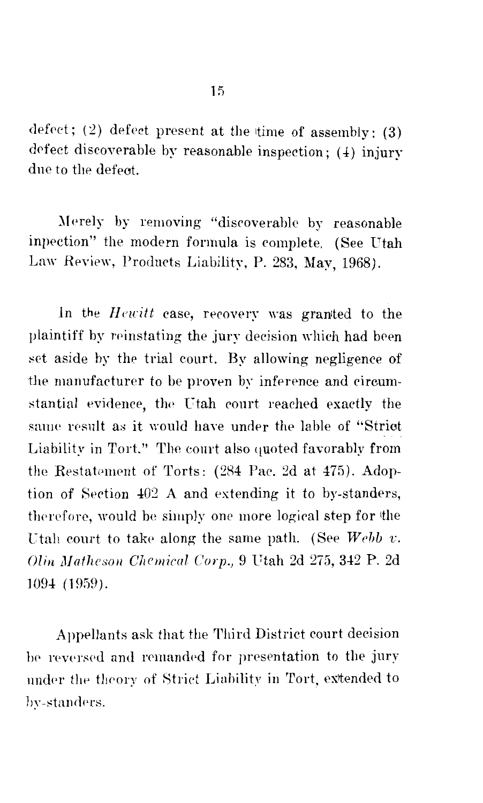defect; (2) defect present at the time of assembly: (3) defect discoverable by reasonable inspection;  $(4)$  injury dne to the defect.

Merely by removing "discoverable by reasonable inpection" the modern formula is complete. (See Utah Law Review, Products Liability, P. 283, May, 1968).

In the *Hewitt* case, recovery was granted to the plaintiff by reinstating the jury decision which had been set aside by the trial court. By allowing negligence of the manufacturer to be proven by inference and circumstantial evidence, the Utah court reached exactly the same result as it would have under the lable of "Strict" Liability in Tort." The court also quoted favorably from the Restatement of Torts: (284 Pac. 2d at 475). Adoption of Section ±02 A and extending it to by-standers, therefore, would be simply one more logical step for the Utah court to take along the same path. (See *Webb v. Olin Matheson Chemical Corp.*, 9 Utah 2d 275, 342 P. 2d 109± (1%9).

Appellants ask that the Third District court decision be reversed and remanded for presentation to the jury under the theory of Strict Liability in Tort, extended to by-standers.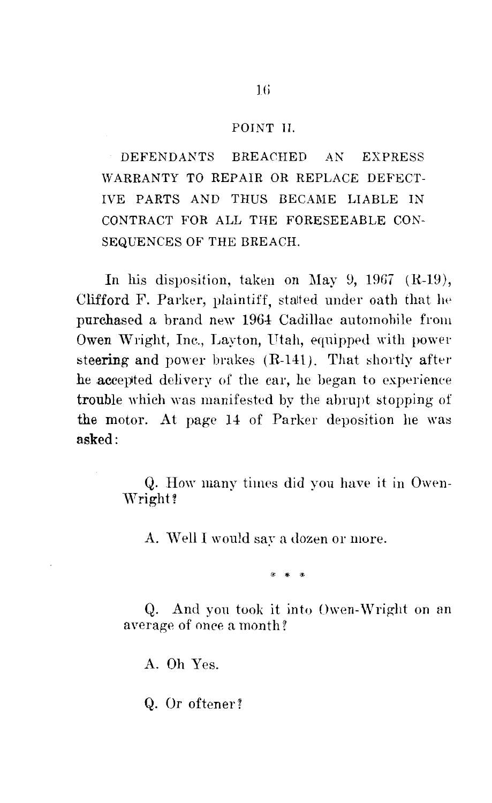#### POINT II.

DEFENDANTS BREACHED AN EXPRESS WARRANTY TO REPAIR OR REPLACE DEFECT-IVE PARTS AND THUS BECAME LIABLE IN CONTRACT FOR ALL THE FORESEEABLE CON-SEQUENCES OF THE BREACH.

In his disposition, taken on May 9,  $1967$  (R-19), Clifford F. Parker, plaintiff, stalted under oath that he purchased a brand new 1964 Cadillac automohile from Owen Wright, Inc., Layton, Utah, equipped with power steering and power brakes  $(R-141)$ . That shortly after he accepted delivery of the car, he began to experience trouble which was manifested by the abrupt stopping of the motor. At page 14 of Parker deposition he was asked:

> Q. How many times did you have it in Owen-Wright?

A. Well I would say a dozen or more.

\* \* \*

Q. And you took it into Owen-Wright on an average of once a month?

A. Oh Yes.

Q. Or oftener?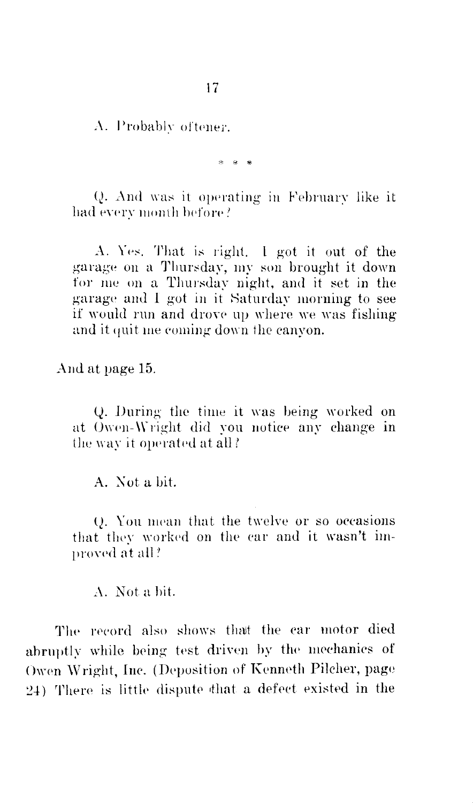A. Probably oftener.

\* \* \*

Q. And was it operating in February like it had every month before?

A. Yes. That is right. I got it out of the garage on a Thursday, my son brought it down for me on a Thursday night, and it set in the garage and I got in it Saturday morning to see if would run and drove up where we was fishing and it quit me coming down the canvon.

And at page 15.

Q. During the time it was being worked on at Owen-Wright did you notice any change in the way it operated at all?

A. Not a bit.

O. You mean that the twelve or so occasions that they worked on the car and it wasn't improved at all?

A. Not a bit.

The record also shows that the car motor died abruptly while being test driven by the mechanics of Owen Wright, Inc. (Deposition of Kenneth Pilcher, page 24) There is little dispute that a defect existed in the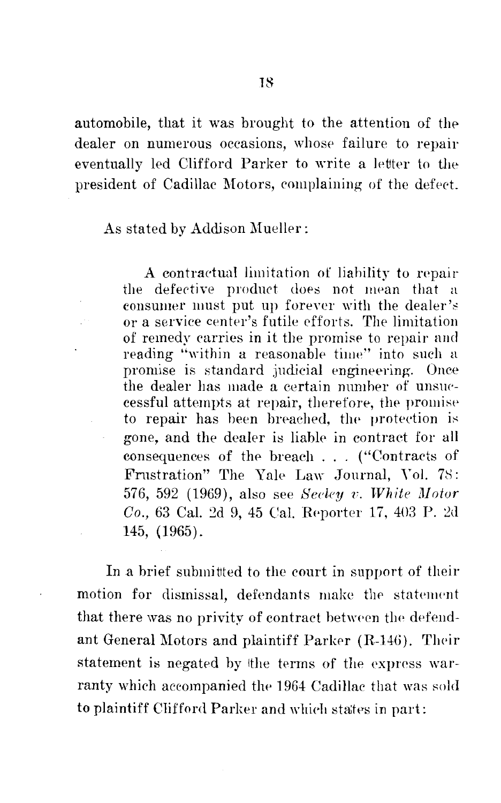automobile, that it was brought to the attention of the dealer on numerous occasions, whose failure to repair eventually led Clifford Parker to write a letter to the president of Cadillac Motors, complaining of the defect.

As stated by Addison Mueller:

A contractual limitation of liability to repair the defective product does not mean that a consumer must put up forever with the dealer's or a service center's futile efforts. The limitation of remedy carries in it the promise to repair and reading "within a reasonable time" into such a promise is standard judicial engineering. Once the dealer has made a certain number of unsuccessful attempts at repair, therefore, the promise to repair has been breached, the protection is gone, and the dealer is liable in contract for all consequences of the breach . . . ("Contracts of Frustration" The Yale Law Journal, Vol. 78: 576, 592 (1969), also see Secley v. White Motor Co., 63 Cal. 2d 9, 45 Cal. Reporter 17, 403 P. 2d 145, (1965).

In a brief submitted to the court in support of their motion for dismissal, defendants make the statement that there was no privity of contract between the defendant General Motors and plaintiff Parker (R-146). Their statement is negated by the terms of the express warranty which accompanied the 1964 Cadillac that was sold to plaintiff Clifford Parker and which states in part: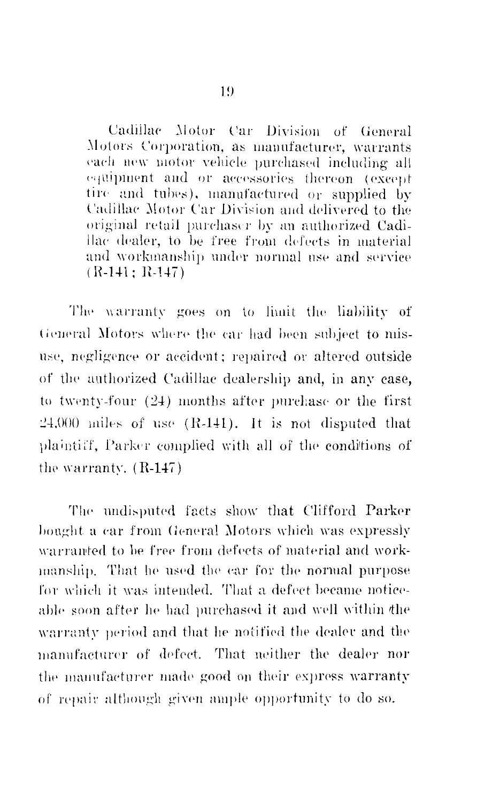Cadillac Motor Car Division of General Motors Corporation, as manufacturer, warrants each new motor vehicle purchased including all equipment and or accessories thereon (except tire and tubes), manufactured or supplied by Cadillac Motor Car Division and delivered to the original retail purchaser by an authorized Cadillac dealer, to be free from defects in material and workmanship under normal use and service  $(R-141: R-147)$ 

The warranty goes on to limit the liability of General Motors where the car had been subject to misuse, negligence or accident; repaired or altered outside of the authorized Cadillac dealership and, in any case, to twenty-four (24) months after purchase or the first  $24,000$  miles of use  $(R-141)$ . It is not disputed that plaintiff, Parker complied with all of the conditions of the warranty.  $(R-147)$ 

The undisputed facts show that Clifford Parker bought a car from General Motors which was expressly warranted to be free from defects of material and workmanship. That he used the car for the normal purpose for which it was intended. That a defect became noticeable soon after he had purchased it and well within the warranty period and that he notified the dealer and the manufacturer of defect. That neither the dealer nor the manufacturer made good on their express warranty of repair although given ample opportunity to do so.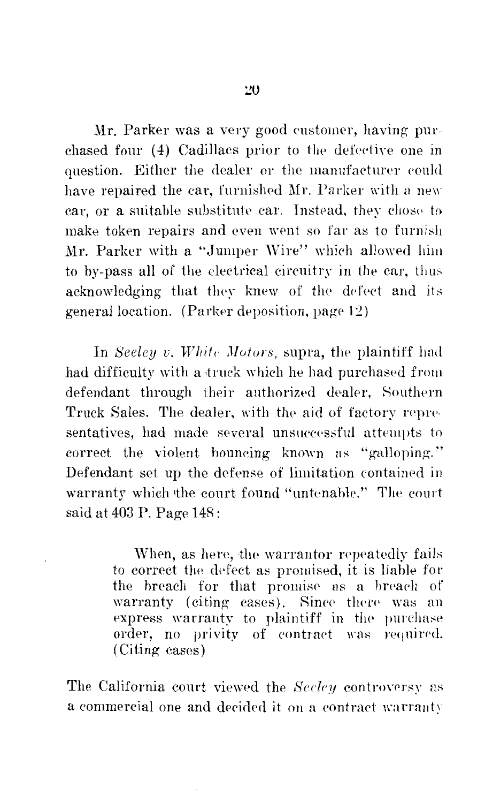Mr. Parker was a very good customer, having purchased four (4) Cadillacs prior to the defective one in question. Either the dealer or the manufacturer could have repaired the car, furnished Mr. Parker with a new car, or a suitable substitute car. Instead, they chose to make token repairs and even went so far as to furnish Mr. Parker with a "Jumper Wire" which allowed him to by-pass all of the electrical circuitry in the car, thus acknowledging that they knew of the defect and its general location. (Parker deposition, page  $12$ )

In *Seeley v. White Motors*, supra, the plaintiff had had difficulty with a truck which he had purchased from defendant through their authorized dealer, Southern Truck Sales. The dealer, with the aid of factory representatives, had made several unsuccessful attempts to correct the violent bouncing known as "galloping.'' Defendant set up the defense of limitation eontained in warranty which the court found "untenable." The court said at 403 P. Page 14R:

> When, as here, the warrantor repeatedly fails to correct the defect as promised, it is liable for the breach for that promise as a breach of warranty (citing cases). Since there was an express warranty to plaintiff in the purchase order, no privity of contract was required. (Citing cases)

The California court viewed the *Seeley* controversy as a commercial one and decided it on a contract warranty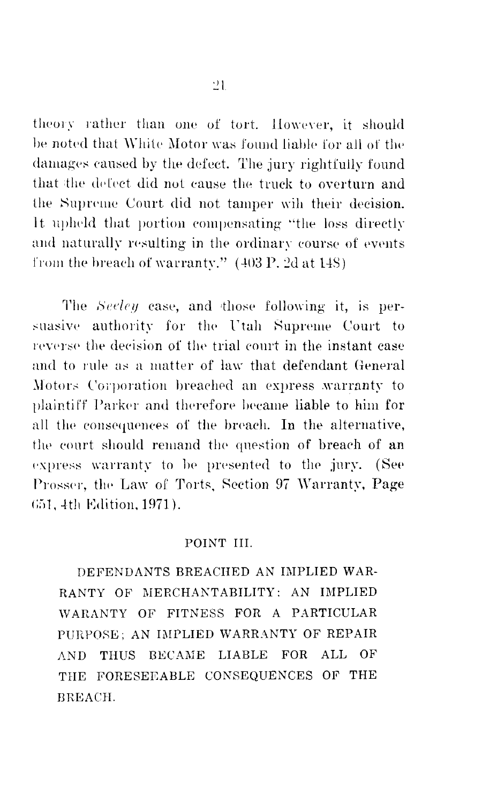theory rather than one of tort. However, it should be noted that White Motor was found liable for all of the damages caused by the defect. The jury rightfully found that the defect did not cause the truck to overturn and the Supreme Court did not tamper wih their decision. It upheld that portion compensating "the loss directly and naturally resulting in the ordinary course of events from the breach of warranty."  $(403 \text{ P}, 2d \text{ at } 148)$ 

The Seeley case, and those following it, is persuasive authority for the Utah Supreme Court to reverse the decision of the trial court in the instant case and to rule as a matter of law that defendant General Motors Corporation breached an express warranty to plaintiff Parker and therefore became liable to him for all the consequences of the breach. In the alternative, the court should remand the question of breach of an express warranty to be presented to the jury. (See Prosser, the Law of Torts, Section 97 Warranty, Page 651, 4th Edition, 1971).

### POINT III.

DEFENDANTS BREACHED AN IMPLIED WAR-RANTY OF MERCHANTABILITY: AN IMPLIED WARANTY OF FITNESS FOR A PARTICULAR PURPOSE: AN IMPLIED WARRANTY OF REPAIR AND THUS BECAME LIABLE FOR ALL OF THE FORESEEABLE CONSEQUENCES OF THE **RREACH.**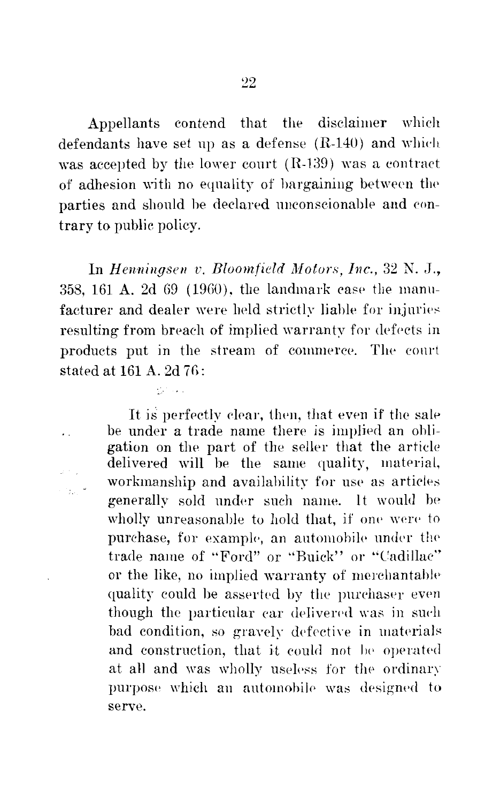Appellants contend that the disclaimer which defendants have set up as a defense  $(R-140)$  and which was accepted by the lower court  $(R-139)$  was a contract of adhesion with no equality of bargaining between the parties and should he declared unconscionable and contrary to public policy.

In *Henningsen v. Bloomfield Motors, Inc.*, 32 N. J., 358, 161 A. 2d G9 (19GO). the landmark ease the manufacturer and dealer were held strictly liable for injuries resulting from breach of implied warranty for defects in products put in the stream of commerce. The conrt stated at  $161$  A.  $2d$   $76$ :

 $10^{11}$  km

 $\ddot{\phantom{0}}$ 

It is perfectly clear, then, that even if the sale be under a trade name there is implied an obligation on the part of the seller that the article delivered will be the same quality, material, workmanship and availability for use as articles generally sold under such name. It would be wholly unreasonable to hold that, if one were to purchase, for example, an automobile under the trade name of "Ford" or "Buick" or "Cadillac'' or the like, no implied warranty of merchantable quality could be asserted by the purchaser even though the particular car delivered was in such bad condition, so gravely defective in materials and construction, that it could not be operated at all and was wholly useless for the ordinary purpose which an automobile was designed to serve.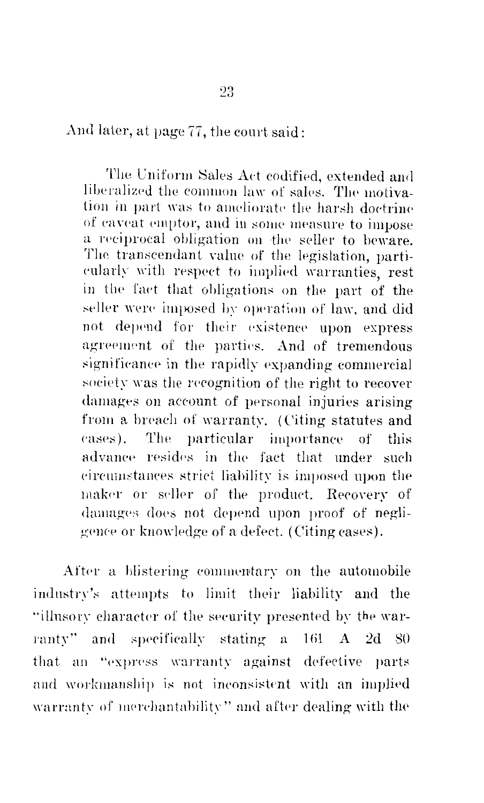And later, at page 77, the court said:

The Uniform Sales Act codified, extended and liberalized the common law of sales. The motivation in part was to ameliorate the harsh doctrine of caveat emptor, and in some measure to impose a reciprocal obligation on the seller to beware. The transcendant value of the legislation, particularly with respect to implied warranties, rest in the fact that obligations on the part of the seller were imposed by operation of law, and did not depend for their existence upon express agreement of the parties. And of tremendous significance in the rapidly expanding commercial society was the recognition of the right to recover damages on account of personal injuries arising from a breach of warranty. (Citing statutes and cases). The particular importance of this advance resides in the fact that under such circumstances strict liability is imposed upon the maker or seller of the product. Recovery of damages does not depend upon proof of negligence or knowledge of a defect. (Citing cases).

After a blistering commentary on the automobile industry's attempts to limit their liability and the "illusory character of the security presented by the warranty" and specifically stating a 161 A 2d 80 that an "express warranty against defective parts and workmanship is not inconsistent with an implied warranty of merchantability" and after dealing with the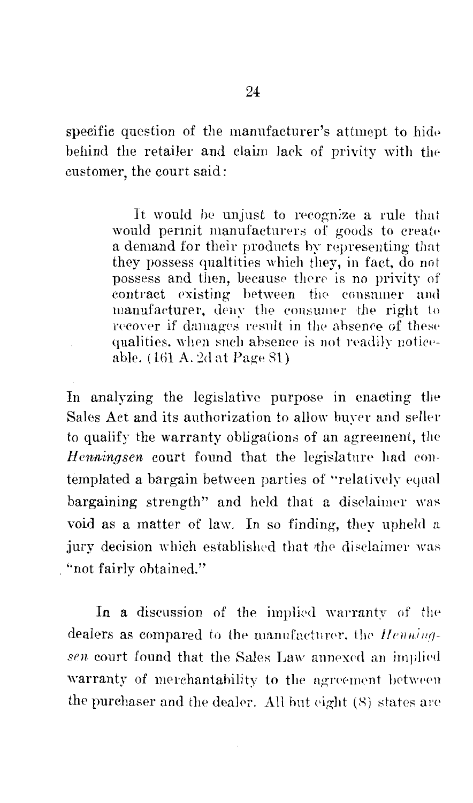specific question of the manufacturer's attmept to hide behind the retailer and claim lack of privity with the customer, the court said:

> It would be unjust to recognize a rule that would permit manufacturers of goods to create a demand for their products by representing that they possess qualities which they, in fact, do not possess and then, because there is no privity of contract existing between the consumer and manufacturer, deny the consumer the right to recover if damages result in the absence of these qualities, when such absence is not readily noticeable. (161 A. 2d at Page 81)

In analyzing the legislative purpose in enacting the Sales Act and its authorization to allow buyer and seller to qualify the warranty obligations of an agreement, the Henningsen court found that the legislature had contemplated a bargain between parties of "relatively equal bargaining strength" and held that a disclaimer was void as a matter of law. In so finding, they upheld a jury decision which established that the disclaimer was "not fairly obtained."

In a discussion of the implied warranty of the dealers as compared to the manufacturer, the Henningsen court found that the Sales Law annexed an implied warranty of merchantability to the agreement between the purchaser and the dealer. All but eight (8) states are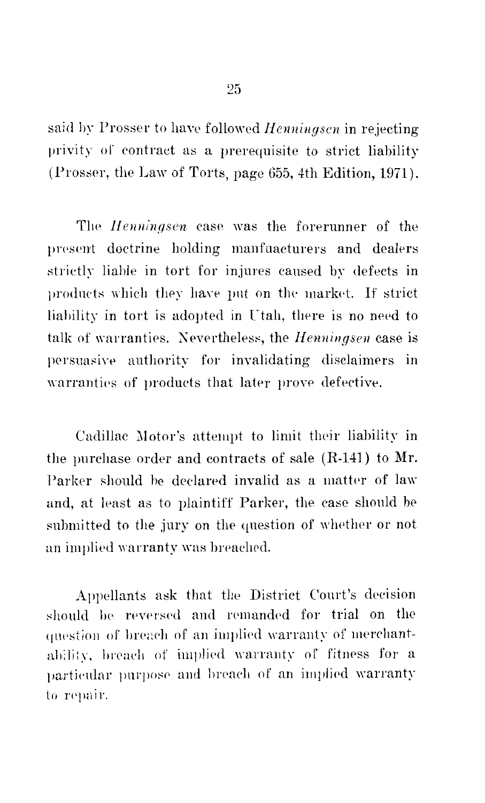said by Prosser to have followed *Henningsen* in rejecting privity of contract as a prerequisite to strict liability (Prosser, the Law of Torts, page 655, 4th Edition, 1971).

The *Henningsen* case was the forerunner of the present doctrine holding manfuacturers and dealers strictly liahle in tort for injures caused by defects in products which they have put on the market. If strict liability in tort is adopted in Utah, there is no need to talk of warranties. Nevertheless, the *Henningsen* case is persuasive authority for invalidating disclaimers in warranties of products that later prove defective.

Cadillac Motor's attempt to limit their liability in the purchase order and contracts of sale (R-141) to Mr. Parker should be declared invalid as a matter of law and, at least as to plaintiff Parker, the case should be submitted to the jury on the question of whether or not an implied warranty was breached.

Appellants ask that the District Court's decision should be reversed and remanded for trial on the question of breach of an implied warranty of merchantability, breach of implied warranty of fitness for a particular purpose and breach of an implied warranty to repair.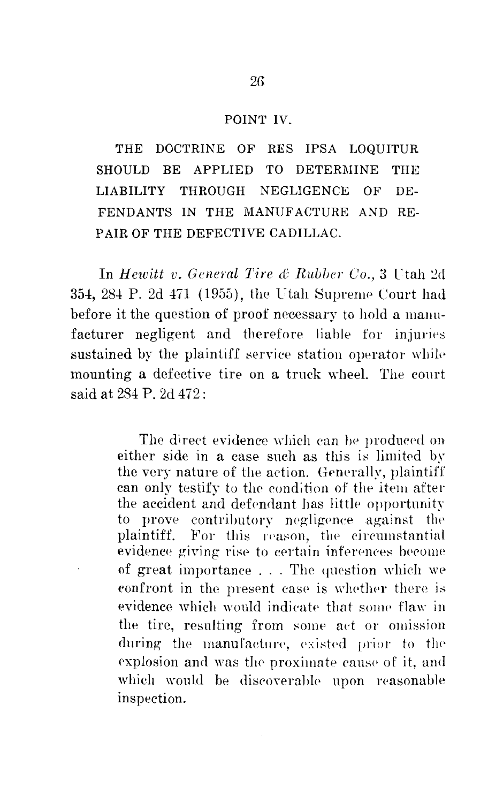#### POINT IV.

THE DOCTRINE OF RES IPSA LOQUITUR SHOULD BE APPLIED TO DETERMINE **THE** THROUGH NEGLIGENCE **LIABILITY** OF DE-FENDANTS IN THE MANUFACTURE AND RE-PAIR OF THE DEFECTIVE CADILLAC.

In Hewitt v. General Tire & Rubber Co., 3 Utah 2d 354, 284 P. 2d 471 (1955), the Utah Supreme Court had before it the question of proof necessary to hold a manufacturer negligent and therefore liable for injuries sustained by the plaintiff service station operator while mounting a defective tire on a truck wheel. The court said at 284 P. 2d 472:

> The direct evidence which can be produced on either side in a case such as this is limited by the very nature of the action. Generally, plaintiff can only testify to the condition of the item after the accident and defendant has little opportunity to prove contributory negligence against the plaintiff. For this reason, the circumstantial evidence giving rise to certain inferences become of great importance . . . The question which we confront in the present case is whether there is evidence which would indicate that some flaw in the tire, resulting from some act or omission during the manufacture, existed prior to the explosion and was the proximate cause of it, and which would be discoverable upon reasonable inspection.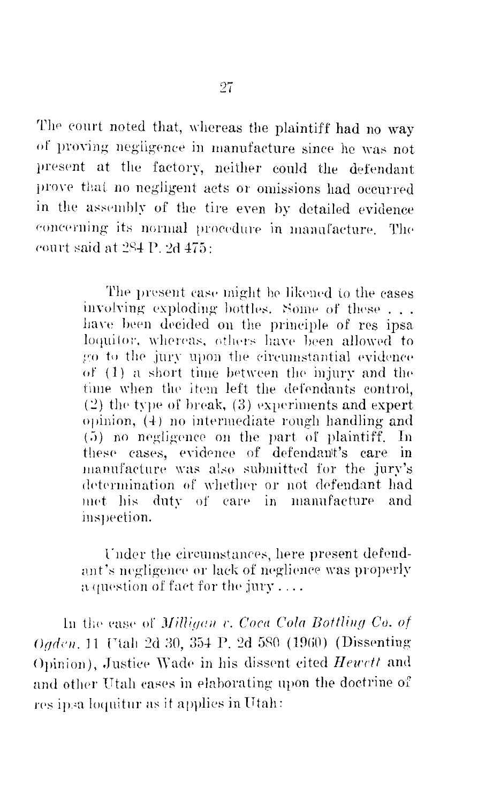The court noted that, whereas the plaintiff had no way of proving negligence in manufacture since he was not present at the factory, neither could the defendant prove that no negligent acts or omissions had occurred in the assembly of the tire even by detailed evidence concerning its normal procedure in manufacture. The court said at 284 P. 2d 475:

> The present case might be likened to the cases involving exploding bottles. Some of these ... have been decided on the principle of res ipsa loquitor, whereas, others have been allowed to go to the jury upon the circumstantial evidence of (1) a short time between the injury and the time when the item left the defendants control.  $(2)$  the type of break,  $(3)$  experiments and expert opinion, (4) no intermediate rough handling and (5) no negligence on the part of plaintiff. In these cases, evidence of defendant's care in manufacture was also submitted for the jury's determination of whether or not defendant had met his duty of care in manufacture and inspection.

Under the circumstances, here present defendant's negligence or lack of neglience was properly a question of fact for the jury....

In the case of *Milliaen v. Coca Cola Bottling Co. of* Oaden, 11 Utah 2d 30, 354 P, 2d 580 (1960) (Dissenting Opinion). Justice Wade in his dissent cited Hewett and and other Utah cases in elaborating upon the doctrine of res ipsa loquitur as it applies in Utah: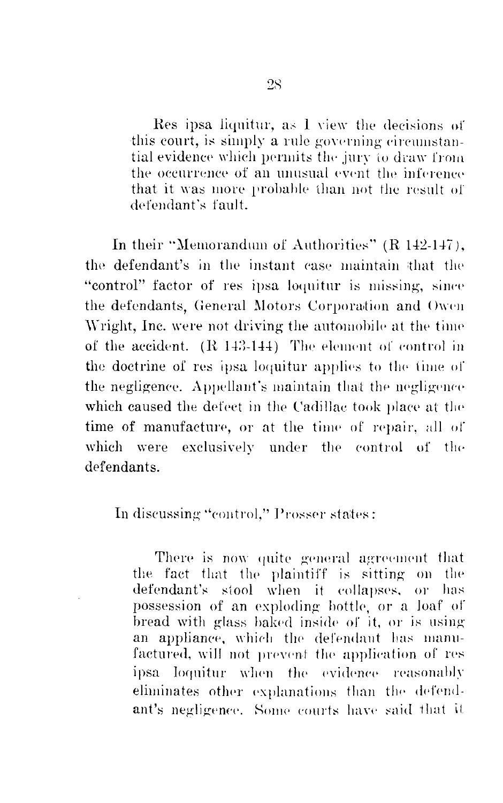Res ipsa liquitur, as I view the decisions of this court, is simply a rule governing circumstantial evidence which permits the jury to draw from the occurrence of an unusual event the inference that it was more probable than not the result of defendant's fault.

In their "Memorandum of Authorities" (R 142-147), the defendant's in the instant case maintain that the "control" factor of res ipsa loquitur is missing, since the defendants. General Motors Corporation and Owen Wright, Inc. were not driving the automobile at the time of the accident. (R 143-144) The element of control in the doctrine of res ipsa loquitur applies to the time of the negligence. Appellant's maintain that the negligence which caused the defect in the Cadillac took place at the time of manufacture, or at the time of repair, all of exclusively under the control of the which were defendants

In discussing "control," Prosser states:

There is now quite general agreement that the fact that the plaintiff is sitting on the defendant's stool when it collapses, or has possession of an exploding bottle, or a loaf of bread with glass baked inside of it, or is using an appliance, which the defendant has manufactured, will not prevent the application of res ipsa loquitur when the evidence reasonably eliminates other explanations than the defendant's negligence. Some courts have said that it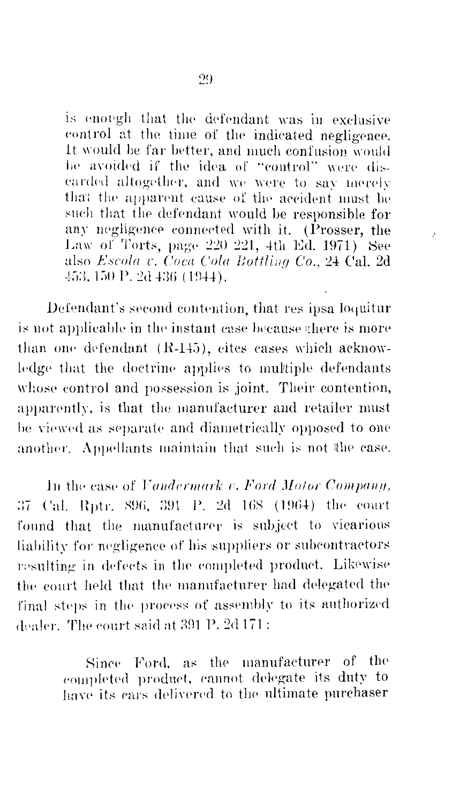is enough that the defendant was in exclusive control at the time of the indicated negligence. It would be far better, and much confusion would be avoided if the idea of "control" were discarded altogether, and we were to say merely that the apparent cause of the accident must be such that the defendant would be responsible for any negligence connected with it. (Prosser, the Law of Torts, page 220 221, 4th Ed. 1971) See also Escola v. Coca Cola Bottling Co., 24 Cal. 2d 453, 150 P. 2d 436 (1944).

 $\beta$ 

Defendant's second contention, that res ipsa loquitur is not applicable in the instant case because there is more than one defendant (R-145), eites cases which acknowledge that the doctrine applies to multiple defendants whose control and possession is joint. Their contention, apparently, is that the manufacturer and retailer must be viewed as separate and diametrically opposed to one another. Appellants maintain that such is not the case.

In the case of Vandermark v. Ford Motor Company, 37 Cal. Rptr. 896, 391 P. 2d 168 (1964) the court found that the manufacturer is subject to vicarious liability for negligence of his suppliers or subcontractors resulting in defects in the completed product. Likewise the court held that the manufacturer had delegated the final steps in the process of assembly to its authorized dealer. The court said at 391 P. 2d 171:

> Since Ford, as the manufacturer of the completed product, cannot delegate its duty to have its cars delivered to the ultimate purchaser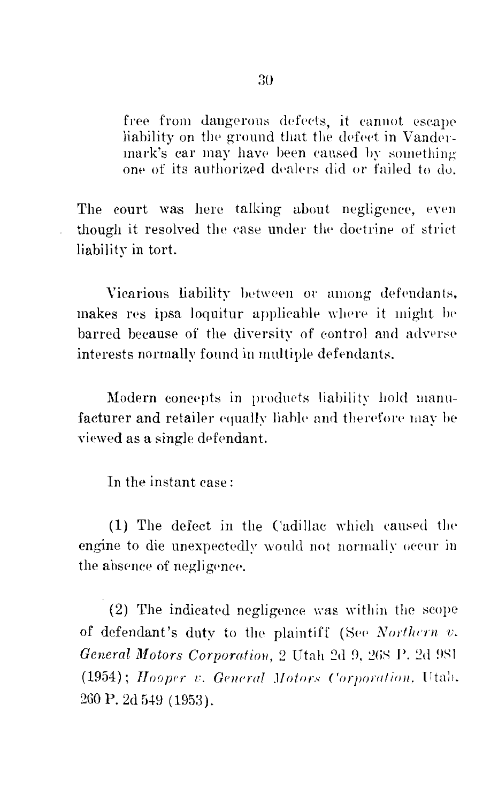free from dangerous defects, it cannot escape liability on the ground that the defect in Vandermark's car may have been caused by something one of its authorized dealers did or failed to do.

The court was here talking about negligence, even though it resolved the case under the doctrine of strict liability in tort.

Vicarious liability between or among defendants, makes res ipsa loquitur applicable where it might be barred because of the diversity of control and adverse interests normally found in multiple defendants.

Modern concepts in products liability hold manufacturer and retailer equally liable and therefore may be viewed as a single defendant.

In the instant case:

(1) The defect in the Cadillac which caused the engine to die unexpectedly would not normally occur in the absence of negligence.

(2) The indicated negligence was within the scope of defendant's duty to the plaintiff (See Northern v. General Motors Corporation, 2 Utah 2d 9, 268 P. 2d 981 (1954); Hooper v. General Motors Corporation, Utah. 260 P. 2d 549 (1953).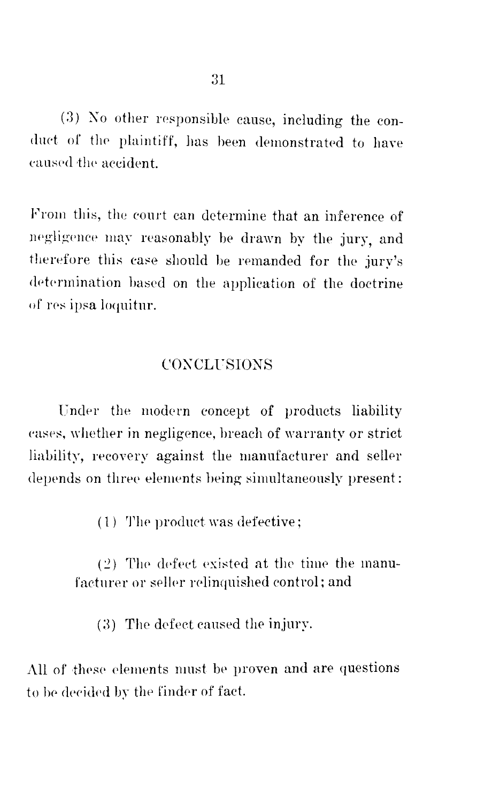(3) No other responsible cause, including the conduct of the plaintiff, has been demonstrated to have caused the accident.

From this, the court can determine that an inference of negligence may reasonably be drawn by the jury, and therefore this case should be remanded for the jury's determination based on the application of the doctrine of res ipsa loquitur.

# **CONCLUSIONS**

Under the modern concept of products liability cases, whether in negligence, breach of warranty or strict liability, recovery against the manufacturer and seller depends on three elements being simultaneously present:

(1) The product was defective;

(2) The defect existed at the time the manufacturer or seller relinquished control; and

(3) The defect caused the injury.

All of these elements must be proven and are questions to be decided by the finder of fact.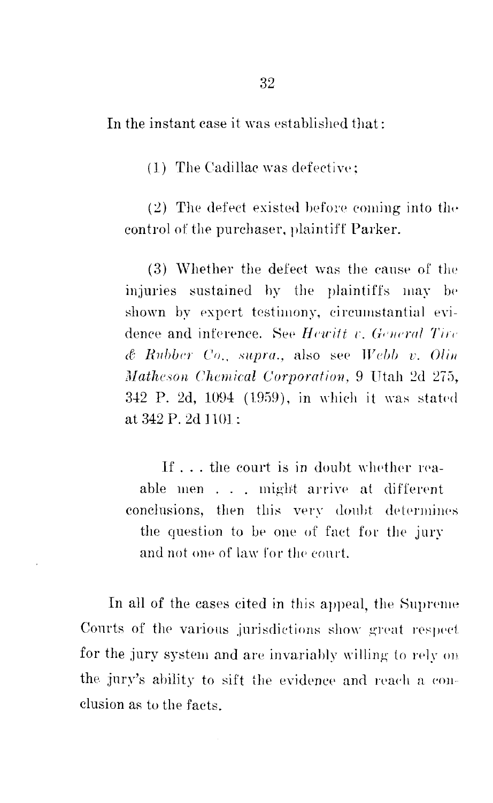In the instant case it was established that:

(1) The Cadillac was defective:

(2) The defect existed before coming into the control of the purchaser, plaintiff Parker.

(3) Whether the defect was the cause of the injuries sustained by the plaintiffs may be shown by expert testimony, circumstantial evidence and inference. See Hewitt v. General Tire  $\&$  Rubber Co., supra., also see Webb v. Olin Matheson Chemical Corporation, 9 Utah 2d 275, 342 P. 2d, 1094 (1959), in which it was stated at 342 P. 2d 1101:

If ... the court is in doubt whether reaable men . . . might arrive at different conclusions, then this very doubt determines the question to be one of fact for the jury and not one of law for the court.

In all of the cases cited in this appeal, the Supreme Courts of the various jurisdictions show great respect for the jury system and are invariably willing to rely on the jury's ability to sift the evidence and reach a conclusion as to the facts